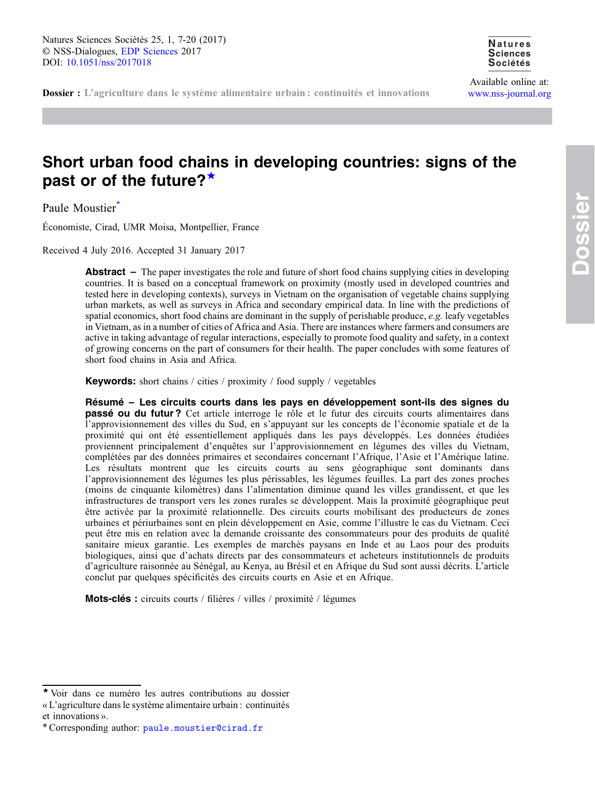Available online at: [www.nss-journal.org](http://www.nss-journal.org)

# Short urban food chains in developing countries: signs of the past or of the future?<sup>★</sup>

Paule Moustier<sup>\*</sup>

Économiste, Cirad, UMR Moisa, Montpellier, France

Received 4 July 2016. Accepted 31 January 2017

**Abstract** – The paper investigates the role and future of short food chains supplying cities in developing countries. It is based on a conceptual framework on proximity (mostly used in developed countries and tested here in developing contexts), surveys in Vietnam on the organisation of vegetable chains supplying urban markets, as well as surveys in Africa and secondary empirical data. In line with the predictions of spatial economics, short food chains are dominant in the supply of perishable produce,  $e.g.$  leafy vegetables in Vietnam, as in a number of cities of Africa and Asia. There are instances where farmers and consumers are active in taking advantage of regular interactions, especially to promote food quality and safety, in a context of growing concerns on the part of consumers for their health. The paper concludes with some features of short food chains in Asia and Africa.

Keywords: short chains / cities / proximity / food supply / vegetables

Résumé – Les circuits courts dans les pays en développement sont-ils des signes du passé ou du futur ? Cet article interroge le rôle et le futur des circuits courts alimentaires dans l'approvisionnement des villes du Sud, en s'appuyant sur les concepts de l'économie spatiale et de la proximité qui ont été essentiellement appliqués dans les pays développés. Les données étudiées proviennent principalement d'enquêtes sur l'approvisionnement en légumes des villes du Vietnam, complétées par des données primaires et secondaires concernant l'Afrique, l'Asie et l'Amérique latine. Les résultats montrent que les circuits courts au sens géographique sont dominants dans l'approvisionnement des légumes les plus périssables, les légumes feuilles. La part des zones proches (moins de cinquante kilomètres) dans l'alimentation diminue quand les villes grandissent, et que les infrastructures de transport vers les zones rurales se développent. Mais la proximité géographique peut être activée par la proximité relationnelle. Des circuits courts mobilisant des producteurs de zones urbaines et périurbaines sont en plein développement en Asie, comme l'illustre le cas du Vietnam. Ceci peut être mis en relation avec la demande croissante des consommateurs pour des produits de qualité sanitaire mieux garantie. Les exemples de marchés paysans en Inde et au Laos pour des produits biologiques, ainsi que d'achats directs par des consommateurs et acheteurs institutionnels de produits d'agriculture raisonnée au Sénégal, au Kenya, au Brésil et en Afrique du Sud sont aussi décrits. L'article conclut par quelques spécificités des circuits courts en Asie et en Afrique.

Mots-clés : circuits courts / filières / villes / proximité / légumes

<sup>★</sup> Voir dans ce numéro les autres contributions au dossier « L'agriculture dans le système alimentaire urbain : continuités et innovations ».

<sup>\*</sup>Corresponding author: [paule.moustier@cirad.fr](mailto:paule.moustier@cirad.fr)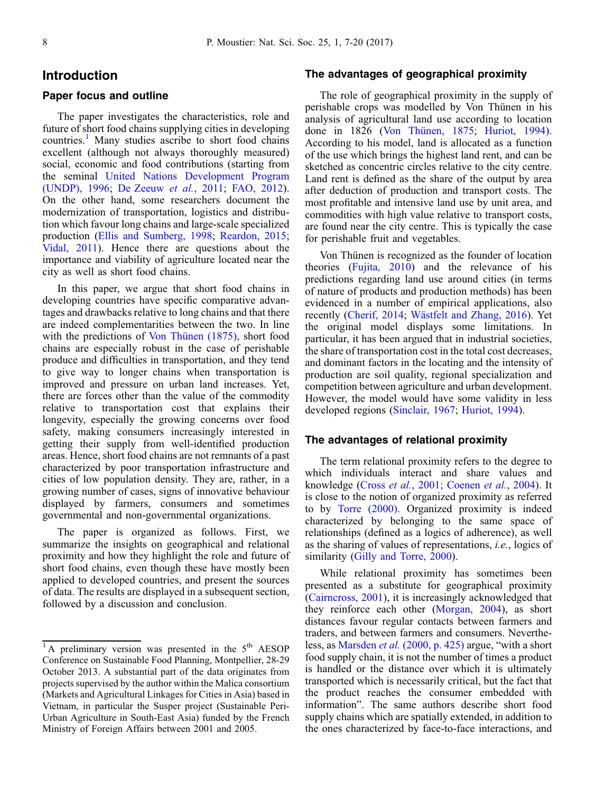## Introduction

## Paper focus and outline

The paper investigates the characteristics, role and future of short food chains supplying cities in developing countries.<sup>1</sup> Many studies ascribe to short food chains excellent (although not always thoroughly measured) social, economic and food contributions (starting from the seminal [United Nations Development Program](#page-12-0) [\(UNDP\), 1996;](#page-12-0) [De Zeeuw](#page-11-0) et al., 2011; [FAO, 2012](#page-11-0)). On the other hand, some researchers document the modernization of transportation, logistics and distribution which favour long chains and large-scale specialized production [\(Ellis and Sumberg, 1998;](#page-11-0) [Reardon, 2015;](#page-12-0) [Vidal, 2011\)](#page-12-0). Hence there are questions about the importance and viability of agriculture located near the city as well as short food chains.

In this paper, we argue that short food chains in developing countries have specific comparative advantages and drawbacks relative to long chains and that there are indeed complementarities between the two. In line with the predictions of [Von Thünen \(1875\)](#page-13-0), short food chains are especially robust in the case of perishable produce and difficulties in transportation, and they tend to give way to longer chains when transportation is improved and pressure on urban land increases. Yet, there are forces other than the value of the commodity relative to transportation cost that explains their longevity, especially the growing concerns over food safety, making consumers increasingly interested in getting their supply from well-identified production areas. Hence, short food chains are not remnants of a past characterized by poor transportation infrastructure and cities of low population density. They are, rather, in a growing number of cases, signs of innovative behaviour displayed by farmers, consumers and sometimes governmental and non-governmental organizations.

The paper is organized as follows. First, we summarize the insights on geographical and relational proximity and how they highlight the role and future of short food chains, even though these have mostly been applied to developed countries, and present the sources of data. The results are displayed in a subsequent section, followed by a discussion and conclusion.

#### The advantages of geographical proximity

The role of geographical proximity in the supply of perishable crops was modelled by Von Thünen in his analysis of agricultural land use according to location done in 1826 ([Von Thünen, 1875;](#page-13-0) [Huriot, 1994](#page-11-0)). According to his model, land is allocated as a function of the use which brings the highest land rent, and can be sketched as concentric circles relative to the city centre. Land rent is defined as the share of the output by area after deduction of production and transport costs. The most profitable and intensive land use by unit area, and commodities with high value relative to transport costs, are found near the city centre. This is typically the case for perishable fruit and vegetables.

Von Thünen is recognized as the founder of location theories ([Fujita, 2010\)](#page-11-0) and the relevance of his predictions regarding land use around cities (in terms of nature of products and production methods) has been evidenced in a number of empirical applications, also recently [\(Cherif, 2014](#page-10-0); [Wästfelt and Zhang, 2016\)](#page-13-0). Yet the original model displays some limitations. In particular, it has been argued that in industrial societies, the share of transportation cost in the total cost decreases, and dominant factors in the locating and the intensity of production are soil quality, regional specialization and competition between agriculture and urban development. However, the model would have some validity in less developed regions ([Sinclair, 1967;](#page-12-0) [Huriot, 1994](#page-11-0)).

## The advantages of relational proximity

The term relational proximity refers to the degree to which individuals interact and share values and knowledge (Cross et al.[, 2001;](#page-11-0) [Coenen](#page-11-0) et al., 2004). It is close to the notion of organized proximity as referred to by [Torre \(2000\).](#page-12-0) Organized proximity is indeed characterized by belonging to the same space of relationships (defined as a logics of adherence), as well as the sharing of values of representations, i.e., logics of similarity ([Gilly and Torre, 2000](#page-11-0)).

While relational proximity has sometimes been presented as a substitute for geographical proximity [\(Cairncross, 2001\)](#page-10-0), it is increasingly acknowledged that they reinforce each other [\(Morgan, 2004](#page-12-0)), as short distances favour regular contacts between farmers and traders, and between farmers and consumers. Nevertheless, as Marsden et al. [\(2000, p. 425\)](#page-12-0) argue, "with a short food supply chain, it is not the number of times a product is handled or the distance over which it is ultimately transported which is necessarily critical, but the fact that the product reaches the consumer embedded with information". The same authors describe short food supply chains which are spatially extended, in addition to the ones characterized by face-to-face interactions, and

 $\overline{1}$ A preliminary version was presented in the  $5<sup>th</sup>$  AESOP Conference on Sustainable Food Planning, Montpellier, 28-29 October 2013. A substantial part of the data originates from projects supervised by the author within the Malica consortium (Markets and Agricultural Linkages for Cities in Asia) based in Vietnam, in particular the Susper project (Sustainable Peri-Urban Agriculture in South-East Asia) funded by the French Ministry of Foreign Affairs between 2001 and 2005.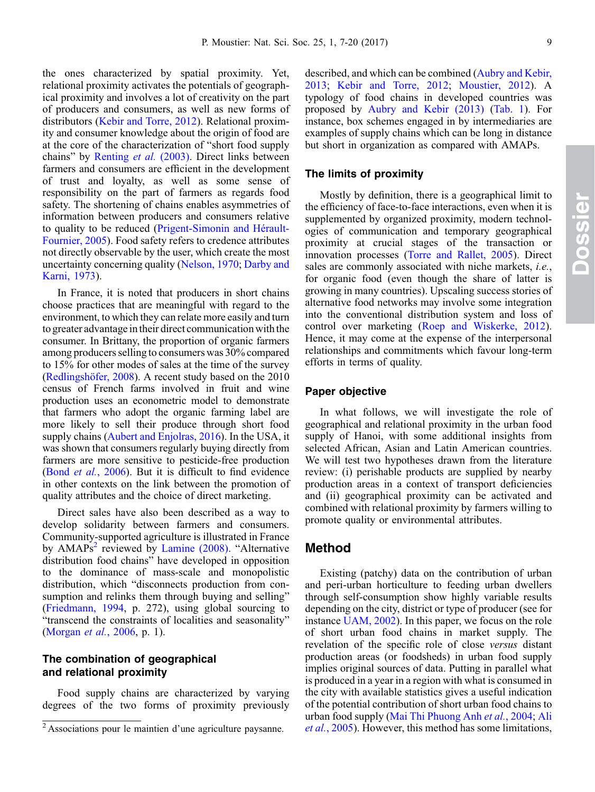the ones characterized by spatial proximity. Yet, relational proximity activates the potentials of geographical proximity and involves a lot of creativity on the part of producers and consumers, as well as new forms of distributors [\(Kebir and Torre, 2012](#page-11-0)). Relational proximity and consumer knowledge about the origin of food are at the core of the characterization of "short food supply chains" by [Renting](#page-12-0) et al. (2003). Direct links between farmers and consumers are efficient in the development of trust and loyalty, as well as some sense of responsibility on the part of farmers as regards food safety. The shortening of chains enables asymmetries of information between producers and consumers relative to quality to be reduced [\(Prigent-Simonin and Hérault-](#page-12-0)[Fournier, 2005\)](#page-12-0). Food safety refers to credence attributes not directly observable by the user, which create the most uncertainty concerning quality [\(Nelson, 1970](#page-12-0); [Darby and](#page-11-0) [Karni, 1973\)](#page-11-0).

In France, it is noted that producers in short chains choose practices that are meaningful with regard to the environment, to which they can relate more easily and turn to greater advantage in their direct communication with the consumer. In Brittany, the proportion of organic farmers among producers selling to consumers was 30% compared to 15% for other modes of sales at the time of the survey [\(Redlingshöfer, 2008](#page-12-0)). A recent study based on the 2010 census of French farms involved in fruit and wine production uses an econometric model to demonstrate that farmers who adopt the organic farming label are more likely to sell their produce through short food supply chains ([Aubert and Enjolras, 2016](#page-10-0)). In the USA, it was shown that consumers regularly buying directly from farmers are more sensitive to pesticide-free production (Bond et al.[, 2006](#page-10-0)). But it is difficult to find evidence in other contexts on the link between the promotion of quality attributes and the choice of direct marketing.

Direct sales have also been described as a way to develop solidarity between farmers and consumers. Community-supported agriculture is illustrated in France by  $AMAPs<sup>2</sup>$  reviewed by [Lamine \(2008\).](#page-11-0) "Alternative distribution food chains" have developed in opposition to the dominance of mass-scale and monopolistic distribution, which "disconnects production from consumption and relinks them through buying and selling" [\(Friedmann, 1994](#page-11-0), p. 272), using global sourcing to "transcend the constraints of localities and seasonality" [\(Morgan](#page-12-0) et al., 2006, p. 1).

## The combination of geographical and relational proximity

Food supply chains are characterized by varying degrees of the two forms of proximity previously described, and which can be combined [\(Aubry and Kebir,](#page-10-0) [2013](#page-10-0); [Kebir and Torre, 2012](#page-11-0); [Moustier, 2012](#page-12-0)). A typology of food chains in developed countries was proposed by [Aubry and Kebir \(2013\)](#page-10-0) [\(Tab. 1](#page-3-0)). For instance, box schemes engaged in by intermediaries are examples of supply chains which can be long in distance but short in organization as compared with AMAPs.

#### The limits of proximity

Mostly by definition, there is a geographical limit to the efficiency of face-to-face interactions, even when it is supplemented by organized proximity, modern technologies of communication and temporary geographical proximity at crucial stages of the transaction or innovation processes [\(Torre and Rallet, 2005\)](#page-12-0). Direct sales are commonly associated with niche markets, i.e., for organic food (even though the share of latter is growing in many countries). Upscaling success stories of alternative food networks may involve some integration into the conventional distribution system and loss of control over marketing ([Roep and Wiskerke, 2012](#page-12-0)). Hence, it may come at the expense of the interpersonal relationships and commitments which favour long-term efforts in terms of quality.

#### Paper objective

In what follows, we will investigate the role of geographical and relational proximity in the urban food supply of Hanoi, with some additional insights from selected African, Asian and Latin American countries. We will test two hypotheses drawn from the literature review: (i) perishable products are supplied by nearby production areas in a context of transport deficiencies and (ii) geographical proximity can be activated and combined with relational proximity by farmers willing to promote quality or environmental attributes.

## Method

Existing (patchy) data on the contribution of urban and peri-urban horticulture to feeding urban dwellers through self-consumption show highly variable results depending on the city, district or type of producer (see for instance [UAM, 2002\)](#page-12-0). In this paper, we focus on the role of short urban food chains in market supply. The revelation of the specific role of close versus distant production areas (or foodsheds) in urban food supply implies original sources of data. Putting in parallel what is produced in a year in a region with what is consumed in the city with available statistics gives a useful indication of the potential contribution of short urban food chains to urban food supply [\(Mai Thi Phuong Anh](#page-12-0) et al., 2004; [Ali](#page-10-0) et al.[, 2005\)](#page-10-0). However, this method has some limitations,

<sup>2</sup> Associations pour le maintien d'une agriculture paysanne.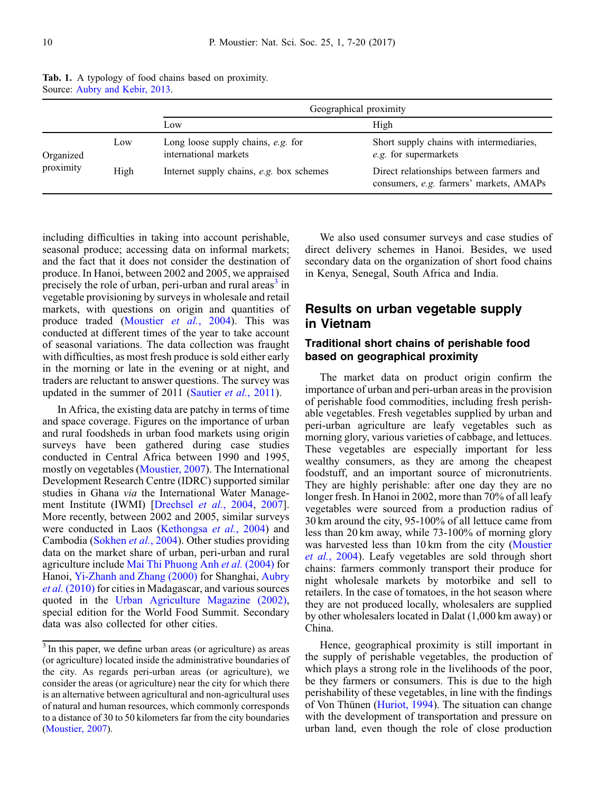|                        |      | Geographical proximity                                        |                                                                                     |
|------------------------|------|---------------------------------------------------------------|-------------------------------------------------------------------------------------|
|                        |      | Low                                                           | High                                                                                |
| Organized<br>proximity | Low  | Long loose supply chains, $e.g.$ for<br>international markets | Short supply chains with intermediaries,<br>e.g. for supermarkets                   |
|                        | High | Internet supply chains, e.g. box schemes                      | Direct relationships between farmers and<br>consumers, e.g. farmers' markets, AMAPs |

<span id="page-3-0"></span>Tab. 1. A typology of food chains based on proximity. Source: [Aubry and Kebir, 2013.](#page-10-0)

including difficulties in taking into account perishable, seasonal produce; accessing data on informal markets; and the fact that it does not consider the destination of produce. In Hanoi, between 2002 and 2005, we appraised precisely the role of urban, peri-urban and rural areas<sup>3</sup> in vegetable provisioning by surveys in wholesale and retail markets, with questions on origin and quantities of produce traded ([Moustier](#page-12-0) et al., 2004). This was conducted at different times of the year to take account of seasonal variations. The data collection was fraught with difficulties, as most fresh produce is sold either early in the morning or late in the evening or at night, and traders are reluctant to answer questions. The survey was updated in the summer of 2011 ([Sautier](#page-12-0) *et al.*, 2011).

In Africa, the existing data are patchy in terms of time and space coverage. Figures on the importance of urban and rural foodsheds in urban food markets using origin surveys have been gathered during case studies conducted in Central Africa between 1990 and 1995, mostly on vegetables ([Moustier, 2007\)](#page-12-0). The International Development Research Centre (IDRC) supported similar studies in Ghana via the International Water Management Institute (IWMI) [[Drechsel](#page-11-0) et al., 2004, [2007](#page-11-0)]. More recently, between 2002 and 2005, similar surveys were conducted in Laos ([Kethongsa](#page-11-0) et al., 2004) and Cambodia ([Sokhen](#page-12-0) et al., 2004). Other studies providing data on the market share of urban, peri-urban and rural agriculture include [Mai Thi Phuong Anh](#page-12-0) et al. (2004) for Hanoi, [Yi-Zhanh and Zhang \(2000\)](#page-13-0) for Shanghai, [Aubry](#page-10-0) et al. [\(2010\)](#page-10-0) for cities in Madagascar, and various sources quoted in the [Urban Agriculture Magazine \(2002\)](#page-12-0), special edition for the World Food Summit. Secondary data was also collected for other cities.

We also used consumer surveys and case studies of direct delivery schemes in Hanoi. Besides, we used secondary data on the organization of short food chains in Kenya, Senegal, South Africa and India.

# Results on urban vegetable supply in Vietnam

## Traditional short chains of perishable food based on geographical proximity

The market data on product origin confirm the importance of urban and peri-urban areas in the provision of perishable food commodities, including fresh perishable vegetables. Fresh vegetables supplied by urban and peri-urban agriculture are leafy vegetables such as morning glory, various varieties of cabbage, and lettuces. These vegetables are especially important for less wealthy consumers, as they are among the cheapest foodstuff, and an important source of micronutrients. They are highly perishable: after one day they are no longer fresh. In Hanoi in 2002, more than 70% of all leafy vegetables were sourced from a production radius of 30 km around the city, 95-100% of all lettuce came from less than 20 km away, while 73-100% of morning glory was harvested less than 10 km from the city [\(Moustier](#page-12-0) et al.[, 2004\)](#page-12-0). Leafy vegetables are sold through short chains: farmers commonly transport their produce for night wholesale markets by motorbike and sell to retailers. In the case of tomatoes, in the hot season where they are not produced locally, wholesalers are supplied by other wholesalers located in Dalat (1,000 km away) or China.

Hence, geographical proximity is still important in the supply of perishable vegetables, the production of which plays a strong role in the livelihoods of the poor, be they farmers or consumers. This is due to the high perishability of these vegetables, in line with the findings of Von Thünen ([Huriot, 1994\)](#page-11-0). The situation can change with the development of transportation and pressure on urban land, even though the role of close production

<sup>&</sup>lt;sup>3</sup> In this paper, we define urban areas (or agriculture) as areas (or agriculture) located inside the administrative boundaries of the city. As regards peri-urban areas (or agriculture), we consider the areas (or agriculture) near the city for which there is an alternative between agricultural and non-agricultural uses of natural and human resources, which commonly corresponds to a distance of 30 to 50 kilometers far from the city boundaries ([Moustier, 2007](#page-12-0)).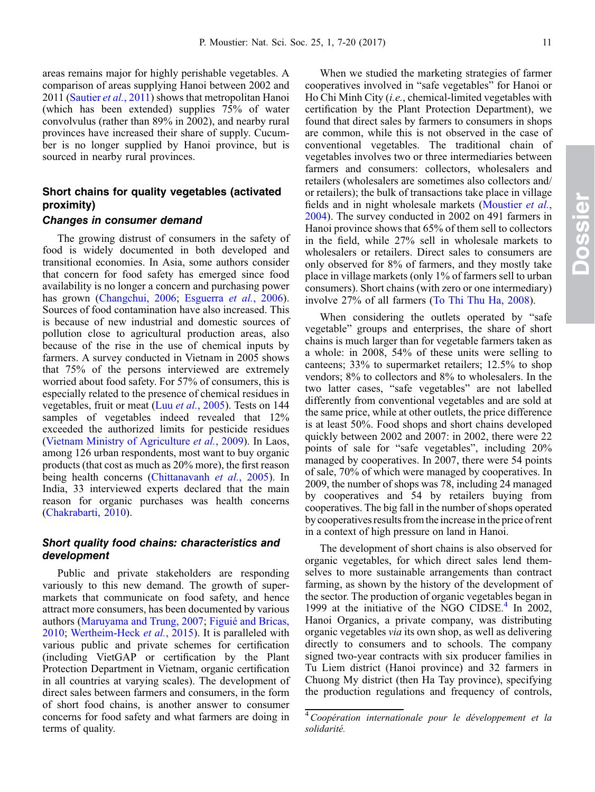areas remains major for highly perishable vegetables. A comparison of areas supplying Hanoi between 2002 and 2011 ([Sautier](#page-12-0) *et al.*, 2011) shows that metropolitan Hanoi (which has been extended) supplies 75% of water convolvulus (rather than 89% in 2002), and nearby rural provinces have increased their share of supply. Cucumber is no longer supplied by Hanoi province, but is sourced in nearby rural provinces.

## Short chains for quality vegetables (activated proximity)

#### Changes in consumer demand

The growing distrust of consumers in the safety of food is widely documented in both developed and transitional economies. In Asia, some authors consider that concern for food safety has emerged since food availability is no longer a concern and purchasing power has grown [\(Changchui, 2006;](#page-10-0) [Esguerra](#page-11-0) et al., 2006). Sources of food contamination have also increased. This is because of new industrial and domestic sources of pollution close to agricultural production areas, also because of the rise in the use of chemical inputs by farmers. A survey conducted in Vietnam in 2005 shows that 75% of the persons interviewed are extremely worried about food safety. For 57% of consumers, this is especially related to the presence of chemical residues in vegetables, fruit or meat (Luu et al.[, 2005](#page-11-0)). Tests on 144 samples of vegetables indeed revealed that 12% exceeded the authorized limits for pesticide residues [\(Vietnam Ministry of Agriculture](#page-12-0) et al., 2009). In Laos, among 126 urban respondents, most want to buy organic products (that cost as much as 20% more), the first reason being health concerns ([Chittanavanh](#page-10-0) *et al.*, 2005). In India, 33 interviewed experts declared that the main reason for organic purchases was health concerns [\(Chakrabarti, 2010](#page-10-0)).

## Short quality food chains: characteristics and development

Public and private stakeholders are responding variously to this new demand. The growth of supermarkets that communicate on food safety, and hence attract more consumers, has been documented by various authors [\(Maruyama and Trung, 2007;](#page-11-0) [Figuié and Bricas,](#page-11-0) [2010](#page-11-0); [Wertheim-Heck](#page-12-0) et al., 2015). It is paralleled with various public and private schemes for certification (including VietGAP or certification by the Plant Protection Department in Vietnam, organic certification in all countries at varying scales). The development of direct sales between farmers and consumers, in the form of short food chains, is another answer to consumer concerns for food safety and what farmers are doing in terms of quality.

When we studied the marketing strategies of farmer cooperatives involved in "safe vegetables" for Hanoi or Ho Chi Minh City (i.e., chemical-limited vegetables with certification by the Plant Protection Department), we found that direct sales by farmers to consumers in shops are common, while this is not observed in the case of conventional vegetables. The traditional chain of vegetables involves two or three intermediaries between farmers and consumers: collectors, wholesalers and retailers (wholesalers are sometimes also collectors and/ or retailers); the bulk of transactions take place in village fields and in night wholesale markets [\(Moustier](#page-12-0) et al., [2004](#page-12-0)). The survey conducted in 2002 on 491 farmers in Hanoi province shows that 65% of them sell to collectors in the field, while 27% sell in wholesale markets to wholesalers or retailers. Direct sales to consumers are only observed for 8% of farmers, and they mostly take place in village markets (only 1% of farmers sell to urban consumers). Short chains (with zero or one intermediary) involve 27% of all farmers ([To Thi Thu Ha, 2008](#page-12-0)).

When considering the outlets operated by "safe vegetable" groups and enterprises, the share of short chains is much larger than for vegetable farmers taken as a whole: in 2008, 54% of these units were selling to canteens; 33% to supermarket retailers; 12.5% to shop vendors; 8% to collectors and 8% to wholesalers. In the two latter cases, "safe vegetables" are not labelled differently from conventional vegetables and are sold at the same price, while at other outlets, the price difference is at least 50%. Food shops and short chains developed quickly between 2002 and 2007: in 2002, there were 22 points of sale for "safe vegetables", including 20% managed by cooperatives. In 2007, there were 54 points of sale, 70% of which were managed by cooperatives. In 2009, the number of shops was 78, including 24 managed by cooperatives and 54 by retailers buying from cooperatives. The big fall in the number of shops operated by cooperatives results fromtheincreaseinthe price of rent in a context of high pressure on land in Hanoi.

The development of short chains is also observed for organic vegetables, for which direct sales lend themselves to more sustainable arrangements than contract farming, as shown by the history of the development of the sector. The production of organic vegetables began in 1999 at the initiative of the NGO CIDSE. $4$  In 2002, Hanoi Organics, a private company, was distributing organic vegetables via its own shop, as well as delivering directly to consumers and to schools. The company signed two-year contracts with six producer families in Tu Liem district (Hanoi province) and 32 farmers in Chuong My district (then Ha Tay province), specifying the production regulations and frequency of controls,

<sup>&</sup>lt;sup>4</sup> Coopération internationale pour le développement et la solidarité.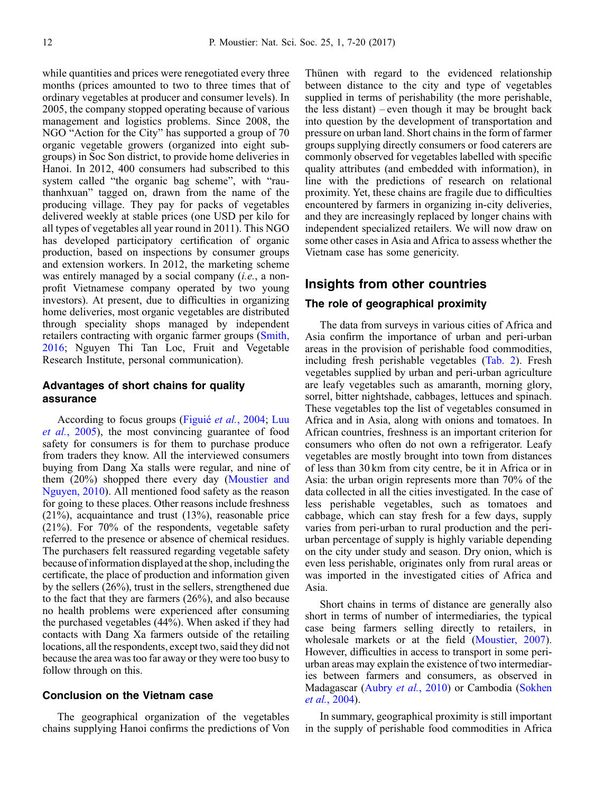while quantities and prices were renegotiated every three months (prices amounted to two to three times that of ordinary vegetables at producer and consumer levels). In 2005, the company stopped operating because of various management and logistics problems. Since 2008, the NGO "Action for the City" has supported a group of 70 organic vegetable growers (organized into eight subgroups) in Soc Son district, to provide home deliveries in Hanoi. In 2012, 400 consumers had subscribed to this system called "the organic bag scheme", with "rauthanhxuan" tagged on, drawn from the name of the producing village. They pay for packs of vegetables delivered weekly at stable prices (one USD per kilo for all types of vegetables all year round in 2011). This NGO has developed participatory certification of organic production, based on inspections by consumer groups and extension workers. In 2012, the marketing scheme was entirely managed by a social company *(i.e.*, a nonprofit Vietnamese company operated by two young investors). At present, due to difficulties in organizing home deliveries, most organic vegetables are distributed through speciality shops managed by independent retailers contracting with organic farmer groups ([Smith,](#page-12-0) [2016](#page-12-0); Nguyen Thi Tan Loc, Fruit and Vegetable Research Institute, personal communication).

## Advantages of short chains for quality assurance

According to focus groups (Figuié et al.[, 2004;](#page-11-0) [Luu](#page-11-0) et al.[, 2005\)](#page-11-0), the most convincing guarantee of food safety for consumers is for them to purchase produce from traders they know. All the interviewed consumers buying from Dang Xa stalls were regular, and nine of them (20%) shopped there every day ([Moustier and](#page-12-0) [Nguyen, 2010\)](#page-12-0). All mentioned food safety as the reason for going to these places. Other reasons include freshness (21%), acquaintance and trust (13%), reasonable price (21%). For 70% of the respondents, vegetable safety referred to the presence or absence of chemical residues. The purchasers felt reassured regarding vegetable safety because of information displayed at the shop, includingthe certificate, the place of production and information given by the sellers (26%), trust in the sellers, strengthened due to the fact that they are farmers (26%), and also because no health problems were experienced after consuming the purchased vegetables (44%). When asked if they had contacts with Dang Xa farmers outside of the retailing locations, all the respondents, except two, said they did not because the area was too far away or they were too busy to follow through on this.

## Conclusion on the Vietnam case

The geographical organization of the vegetables chains supplying Hanoi confirms the predictions of Von Thünen with regard to the evidenced relationship between distance to the city and type of vegetables supplied in terms of perishability (the more perishable, the less distant) – even though it may be brought back into question by the development of transportation and pressure on urban land. Short chains in the form of farmer groups supplying directly consumers or food caterers are commonly observed for vegetables labelled with specific quality attributes (and embedded with information), in line with the predictions of research on relational proximity. Yet, these chains are fragile due to difficulties encountered by farmers in organizing in-city deliveries, and they are increasingly replaced by longer chains with independent specialized retailers. We will now draw on some other cases in Asia and Africa to assess whether the Vietnam case has some genericity.

## Insights from other countries

#### The role of geographical proximity

The data from surveys in various cities of Africa and Asia confirm the importance of urban and peri-urban areas in the provision of perishable food commodities, including fresh perishable vegetables [\(Tab. 2](#page-6-0)). Fresh vegetables supplied by urban and peri-urban agriculture are leafy vegetables such as amaranth, morning glory, sorrel, bitter nightshade, cabbages, lettuces and spinach. These vegetables top the list of vegetables consumed in Africa and in Asia, along with onions and tomatoes. In African countries, freshness is an important criterion for consumers who often do not own a refrigerator. Leafy vegetables are mostly brought into town from distances of less than 30 km from city centre, be it in Africa or in Asia: the urban origin represents more than 70% of the data collected in all the cities investigated. In the case of less perishable vegetables, such as tomatoes and cabbage, which can stay fresh for a few days, supply varies from peri-urban to rural production and the periurban percentage of supply is highly variable depending on the city under study and season. Dry onion, which is even less perishable, originates only from rural areas or was imported in the investigated cities of Africa and Asia.

Short chains in terms of distance are generally also short in terms of number of intermediaries, the typical case being farmers selling directly to retailers, in wholesale markets or at the field [\(Moustier, 2007](#page-12-0)). However, difficulties in access to transport in some periurban areas may explain the existence of two intermediaries between farmers and consumers, as observed in Madagascar (Aubry et al.[, 2010\)](#page-10-0) or Cambodia [\(Sokhen](#page-12-0) et al.[, 2004\)](#page-12-0).

In summary, geographical proximity is still important in the supply of perishable food commodities in Africa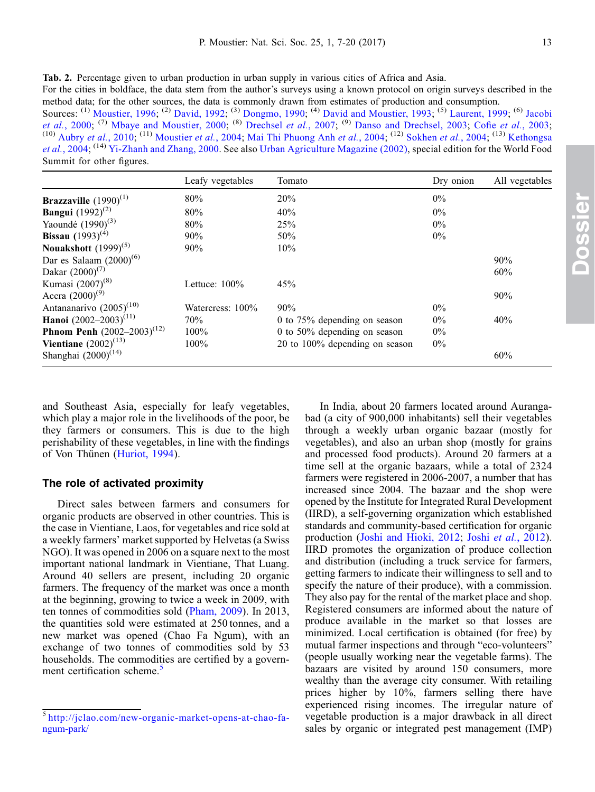Dossier

<span id="page-6-0"></span>Tab. 2. Percentage given to urban production in urban supply in various cities of Africa and Asia.

For the cities in boldface, the data stem from the author's surveys using a known protocol on origin surveys described in the method data; for the other sources, the data is commonly drawn from estimates of production and consumption. Sources: <sup>(1)</sup> [Moustier, 1996](#page-12-0); <sup>(2)</sup> [David, 1992](#page-11-0); <sup>(3)</sup> [Dongmo, 1990](#page-11-0); <sup>(4)</sup> [David and Moustier, 1993](#page-11-0); <sup>(5)</sup> [Laurent, 1999;](#page-11-0) <sup>(6)</sup> [Jacobi](#page-11-0) et al.[, 2000;](#page-11-0) <sup>(7)</sup> [Mbaye and Moustier, 2000](#page-12-0); <sup>(8)</sup> [Drechsel](#page-11-0) et al., 2007; <sup>(9)</sup> [Danso and Drechsel, 2003](#page-11-0); Cofie et al.[, 2003;](#page-11-0) <sup>(10)</sup> [Aubry](#page-10-0) et al., 2010; <sup>(11)</sup> [Moustier](#page-12-0) et al., 2004; [Mai Thi Phuong Anh](#page-11-0) et al., 2004; <sup>(12)</sup> [Sokhen](#page-12-0) et al., 2004; <sup>(13)</sup> [Kethongsa](#page-11-0) et al.[, 2004](#page-11-0); (14) [Yi-Zhanh and Zhang, 2000](#page-13-0). See also [Urban Agriculture Magazine \(2002\)](#page-12-0), special edition for the World Food

Summit for other figures.

|                                        | Leafy vegetables | Tomato                          | Dry onion | All vegetables |
|----------------------------------------|------------------|---------------------------------|-----------|----------------|
| <b>Brazzaville</b> $(1990)^{(1)}$      | 80%              | 20%                             | $0\%$     |                |
| <b>Bangui</b> $(1992)^{(2)}$           | 80%              | 40%                             | $0\%$     |                |
| Yaoundé $(1990)^{(3)}$                 | 80%              | 25%                             | $0\%$     |                |
| <b>Bissau</b> $(1993)^{(4)}$           | 90%              | 50%                             | $0\%$     |                |
| Nouakshott $(1999)^{(5)}$              | 90%              | 10%                             |           |                |
| Dar es Salaam $(2000)^{(6)}$           |                  |                                 |           | 90%            |
| Dakar $(2000)^{(7)}$                   |                  |                                 |           | 60%            |
| Kumasi (2007) <sup>(8)</sup>           | Lettuce: $100\%$ | 45%                             |           |                |
| Accra $(2000)^{(9)}$                   |                  |                                 |           | 90%            |
| Antananarivo $(2005)^{(10)}$           | Watercress: 100% | 90%                             | $0\%$     |                |
| Hanoi $(2002-2003)^{(11)}$             | 70%              | 0 to $75\%$ depending on season | $0\%$     | 40%            |
| <b>Phnom Penh</b> $(2002-2003)^{(12)}$ | $100\%$          | 0 to $50\%$ depending on season | $0\%$     |                |
| <b>Vientiane</b> $(2002)^{(13)}$       | 100%             | 20 to 100% depending on season  | $0\%$     |                |
| Shanghai $(2000)^{(14)}$               |                  |                                 |           | 60%            |

and Southeast Asia, especially for leafy vegetables, which play a major role in the livelihoods of the poor, be they farmers or consumers. This is due to the high perishability of these vegetables, in line with the findings of Von Thünen [\(Huriot, 1994](#page-11-0)).

#### The role of activated proximity

Direct sales between farmers and consumers for organic products are observed in other countries. This is the case in Vientiane, Laos, for vegetables and rice sold at a weekly farmers' market supported by Helvetas (a Swiss NGO). It was opened in 2006 on a square next to the most important national landmark in Vientiane, That Luang. Around 40 sellers are present, including 20 organic farmers. The frequency of the market was once a month at the beginning, growing to twice a week in 2009, with ten tonnes of commodities sold ([Pham, 2009\)](#page-12-0). In 2013, the quantities sold were estimated at 250 tonnes, and a new market was opened (Chao Fa Ngum), with an exchange of two tonnes of commodities sold by 53 households. The commodities are certified by a government certification scheme.<sup>5</sup>

In India, about 20 farmers located around Aurangabad (a city of 900,000 inhabitants) sell their vegetables through a weekly urban organic bazaar (mostly for vegetables), and also an urban shop (mostly for grains and processed food products). Around 20 farmers at a time sell at the organic bazaars, while a total of 2324 farmers were registered in 2006-2007, a number that has increased since 2004. The bazaar and the shop were opened by the Institute for Integrated Rural Development (IIRD), a self-governing organization which established standards and community-based certification for organic production ([Joshi and Hioki, 2012;](#page-11-0) Joshi et al.[, 2012](#page-11-0)). IIRD promotes the organization of produce collection and distribution (including a truck service for farmers, getting farmers to indicate their willingness to sell and to specify the nature of their produce), with a commission. They also pay for the rental of the market place and shop. Registered consumers are informed about the nature of produce available in the market so that losses are minimized. Local certification is obtained (for free) by mutual farmer inspections and through "eco-volunteers" (people usually working near the vegetable farms). The bazaars are visited by around 150 consumers, more wealthy than the average city consumer. With retailing prices higher by 10%, farmers selling there have experienced rising incomes. The irregular nature of vegetable production is a major drawback in all direct sales by organic or integrated pest management (IMP)

<sup>5</sup> [http://jclao.com/new-organic-market-opens-at-chao-fa](http://jclao.com/new-organic-market-opens-at-chao-fa-ngum-park/)[ngum-park/](http://jclao.com/new-organic-market-opens-at-chao-fa-ngum-park/)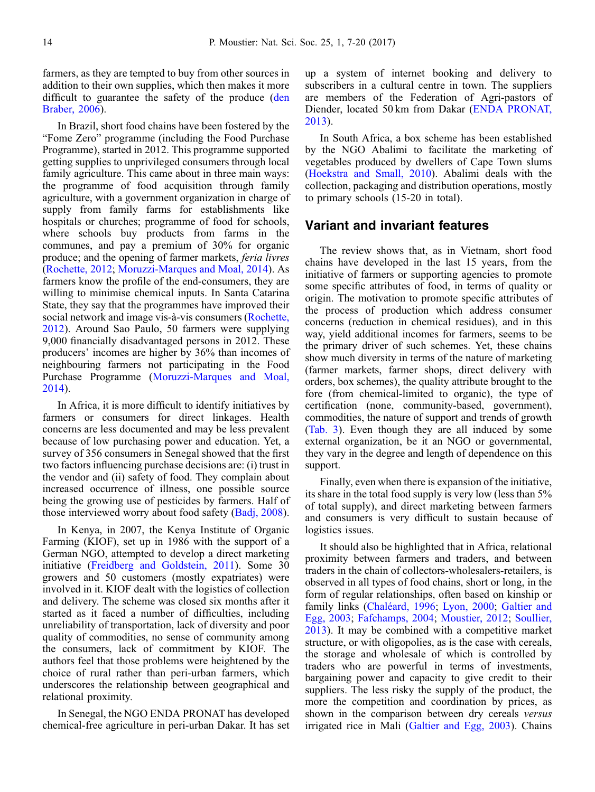farmers, as they are tempted to buy from other sources in addition to their own supplies, which then makes it more difficult to guarantee the safety of the produce [\(den](#page-10-0) [Braber, 2006](#page-10-0)).

In Brazil, short food chains have been fostered by the "Fome Zero" programme (including the Food Purchase Programme), started in 2012. This programme supported getting supplies to unprivileged consumers through local family agriculture. This came about in three main ways: the programme of food acquisition through family agriculture, with a government organization in charge of supply from family farms for establishments like hospitals or churches; programme of food for schools, where schools buy products from farms in the communes, and pay a premium of 30% for organic produce; and the opening of farmer markets, feria livres [\(Rochette, 2012](#page-12-0); [Moruzzi-Marques and Moal, 2014\)](#page-12-0). As farmers know the profile of the end-consumers, they are willing to minimise chemical inputs. In Santa Catarina State, they say that the programmes have improved their social network and image vis-à-vis consumers [\(Rochette,](#page-12-0) [2012](#page-12-0)). Around Sao Paulo, 50 farmers were supplying 9,000 financially disadvantaged persons in 2012. These producers' incomes are higher by 36% than incomes of neighbouring farmers not participating in the Food Purchase Programme ([Moruzzi-Marques and Moal,](#page-12-0) [2014](#page-12-0)).

In Africa, it is more difficult to identify initiatives by farmers or consumers for direct linkages. Health concerns are less documented and may be less prevalent because of low purchasing power and education. Yet, a survey of 356 consumers in Senegal showed that the first two factors influencing purchase decisions are: (i) trust in the vendor and (ii) safety of food. They complain about increased occurrence of illness, one possible source being the growing use of pesticides by farmers. Half of those interviewed worry about food safety [\(Badj, 2008](#page-10-0)).

In Kenya, in 2007, the Kenya Institute of Organic Farming (KIOF), set up in 1986 with the support of a German NGO, attempted to develop a direct marketing initiative [\(Freidberg and Goldstein, 2011](#page-11-0)). Some 30 growers and 50 customers (mostly expatriates) were involved in it. KIOF dealt with the logistics of collection and delivery. The scheme was closed six months after it started as it faced a number of difficulties, including unreliability of transportation, lack of diversity and poor quality of commodities, no sense of community among the consumers, lack of commitment by KIOF. The authors feel that those problems were heightened by the choice of rural rather than peri-urban farmers, which underscores the relationship between geographical and relational proximity.

In Senegal, the NGO ENDA PRONAT has developed chemical-free agriculture in peri-urban Dakar. It has set up a system of internet booking and delivery to subscribers in a cultural centre in town. The suppliers are members of the Federation of Agri-pastors of Diender, located 50 km from Dakar ([ENDA PRONAT,](#page-11-0) [2013](#page-11-0)).

In South Africa, a box scheme has been established by the NGO Abalimi to facilitate the marketing of vegetables produced by dwellers of Cape Town slums [\(Hoekstra and Small, 2010\)](#page-11-0). Abalimi deals with the collection, packaging and distribution operations, mostly to primary schools (15-20 in total).

# Variant and invariant features

The review shows that, as in Vietnam, short food chains have developed in the last 15 years, from the initiative of farmers or supporting agencies to promote some specific attributes of food, in terms of quality or origin. The motivation to promote specific attributes of the process of production which address consumer concerns (reduction in chemical residues), and in this way, yield additional incomes for farmers, seems to be the primary driver of such schemes. Yet, these chains show much diversity in terms of the nature of marketing (farmer markets, farmer shops, direct delivery with orders, box schemes), the quality attribute brought to the fore (from chemical-limited to organic), the type of certification (none, community-based, government), commodities, the nature of support and trends of growth [\(Tab. 3\)](#page-8-0). Even though they are all induced by some external organization, be it an NGO or governmental, they vary in the degree and length of dependence on this support.

Finally, even when there is expansion of the initiative, its share in the total food supply is very low (less than 5% of total supply), and direct marketing between farmers and consumers is very difficult to sustain because of logistics issues.

It should also be highlighted that in Africa, relational proximity between farmers and traders, and between traders in the chain of collectors-wholesalers-retailers, is observed in all types of food chains, short or long, in the form of regular relationships, often based on kinship or family links ([Chaléard, 1996](#page-10-0); [Lyon, 2000;](#page-11-0) [Galtier and](#page-11-0) [Egg, 2003](#page-11-0); [Fafchamps, 2004;](#page-11-0) [Moustier, 2012;](#page-12-0) [Soullier,](#page-12-0) [2013](#page-12-0)). It may be combined with a competitive market structure, or with oligopolies, as is the case with cereals, the storage and wholesale of which is controlled by traders who are powerful in terms of investments, bargaining power and capacity to give credit to their suppliers. The less risky the supply of the product, the more the competition and coordination by prices, as shown in the comparison between dry cereals versus irrigated rice in Mali ([Galtier and Egg, 2003](#page-11-0)). Chains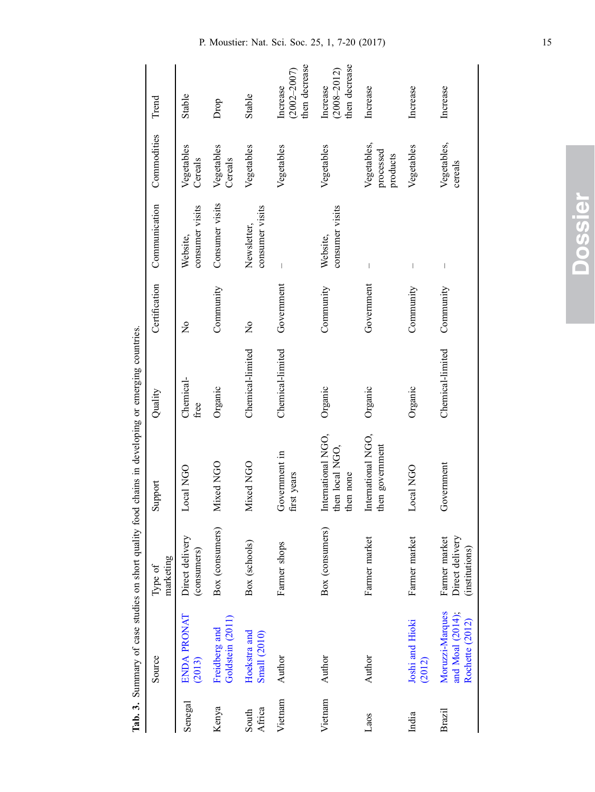<span id="page-8-0"></span>

|                 | Source                                                 | marketing<br>Type of                               | Support                                            | Quality           | Certification             | Communication                  | Commodities                          | Trend                                        |
|-----------------|--------------------------------------------------------|----------------------------------------------------|----------------------------------------------------|-------------------|---------------------------|--------------------------------|--------------------------------------|----------------------------------------------|
| Senegal         | ENDA PRONAT<br>(2013)                                  | Direct delivery<br>(consumers)                     | Local NGO                                          | Chemical-<br>free | $\tilde{z}$               | consumer visits<br>Website,    | Vegetables<br>Cereals                | Stable                                       |
| Kenya           | Goldstein (2011)<br>Freidberg and                      | Box (consumers)                                    | Mixed NGO                                          | Organic           | Community                 | Consumer visits                | Vegetables<br>Cereals                | Drop                                         |
| Africa<br>South | Hoekstra and<br><b>Small</b> (2010)                    | Box (schools)                                      | Mixed NGO                                          | Chemical-limited  | $\mathsf{S}^{\mathsf{O}}$ | consumer visits<br>Newsletter, | Vegetables                           | Stable                                       |
| Vietnam         | Author                                                 | Farmer shops                                       | Government in<br>first years                       | Chemical-limited  | Government                |                                | Vegetables                           | then decrease<br>$(2002 - 2007)$<br>Increase |
| Vietnam         | Author                                                 | Box (consumers)                                    | International NGO,<br>then local NGO,<br>then none | Organic           | Community                 | consumer visits<br>Website,    | Vegetables                           | then decrease<br>$(2008 - 2012)$<br>Increase |
| Laos            | Author                                                 | Farmer market                                      | International NGO,<br>then government              | Organic           | Government                | $\overline{\phantom{a}}$       | Vegetables,<br>processed<br>products | Increase                                     |
| India           | Joshi and Hioki<br>(2012)                              | Farmer market                                      | Local NGO                                          | Organic           | Community                 | I                              | Vegetables                           | Increase                                     |
| <b>Brazil</b>   | Moruzzi-Marques<br>and Moal (2014);<br>Rochette (2012) | Direct delivery<br>Farmer market<br>(institutions) | Government                                         | Chemical-limited  | Community                 |                                | Vegetables,<br>cereals               | Increase                                     |

Tab. 3. Summary of case studies on short quality food chains in developing or emerging countries. Tab. 3. Summary of case studies on short quality food chains in developing or emerging countries.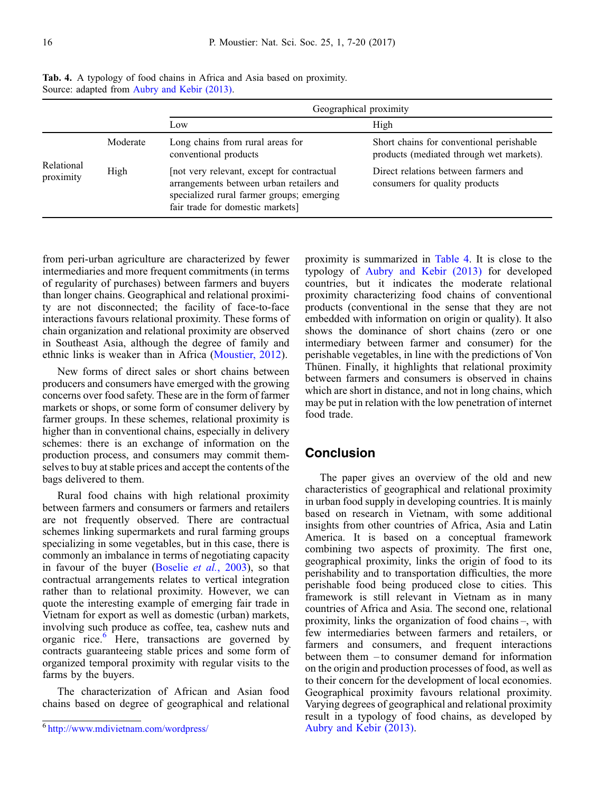|                         |          |                                                                                                                                                                        | Geographical proximity                                                               |
|-------------------------|----------|------------------------------------------------------------------------------------------------------------------------------------------------------------------------|--------------------------------------------------------------------------------------|
|                         |          | Low                                                                                                                                                                    | High                                                                                 |
| Relational<br>proximity | Moderate | Long chains from rural areas for<br>conventional products                                                                                                              | Short chains for conventional perishable<br>products (mediated through wet markets). |
|                         | High     | not very relevant, except for contractual<br>arrangements between urban retailers and<br>specialized rural farmer groups; emerging<br>fair trade for domestic markets] | Direct relations between farmers and<br>consumers for quality products               |

Tab. 4. A typology of food chains in Africa and Asia based on proximity. Source: adapted from [Aubry and Kebir \(2013\)](#page-10-0).

from peri-urban agriculture are characterized by fewer intermediaries and more frequent commitments (in terms) of regularity of purchases) between farmers and buyers than longer chains. Geographical and relational proximity are not disconnected; the facility of face-to-face interactions favours relational proximity. These forms of chain organization and relational proximity are observed in Southeast Asia, although the degree of family and ethnic links is weaker than in Africa [\(Moustier, 2012\)](#page-12-0).

New forms of direct sales or short chains between producers and consumers have emerged with the growing concerns over food safety. These are in the form of farmer markets or shops, or some form of consumer delivery by farmer groups. In these schemes, relational proximity is higher than in conventional chains, especially in delivery schemes: there is an exchange of information on the production process, and consumers may commit themselves to buy at stable prices and accept the contents of the bags delivered to them.

Rural food chains with high relational proximity between farmers and consumers or farmers and retailers are not frequently observed. There are contractual schemes linking supermarkets and rural farming groups specializing in some vegetables, but in this case, there is commonly an imbalance in terms of negotiating capacity in favour of the buyer ([Boselie](#page-10-0) et al., 2003), so that contractual arrangements relates to vertical integration rather than to relational proximity. However, we can quote the interesting example of emerging fair trade in Vietnam for export as well as domestic (urban) markets, involving such produce as coffee, tea, cashew nuts and organic rice.<sup>6</sup> Here, transactions are governed by contracts guaranteeing stable prices and some form of organized temporal proximity with regular visits to the farms by the buyers.

The characterization of African and Asian food chains based on degree of geographical and relational

proximity is summarized in Table 4. It is close to the typology of [Aubry and Kebir \(2013\)](#page-10-0) for developed countries, but it indicates the moderate relational proximity characterizing food chains of conventional products (conventional in the sense that they are not embedded with information on origin or quality). It also shows the dominance of short chains (zero or one intermediary between farmer and consumer) for the perishable vegetables, in line with the predictions of Von Thünen. Finally, it highlights that relational proximity between farmers and consumers is observed in chains which are short in distance, and not in long chains, which may be put in relation with the low penetration of internet food trade.

## **Conclusion**

The paper gives an overview of the old and new characteristics of geographical and relational proximity in urban food supply in developing countries. It is mainly based on research in Vietnam, with some additional insights from other countries of Africa, Asia and Latin America. It is based on a conceptual framework combining two aspects of proximity. The first one, geographical proximity, links the origin of food to its perishability and to transportation difficulties, the more perishable food being produced close to cities. This framework is still relevant in Vietnam as in many countries of Africa and Asia. The second one, relational proximity, links the organization of food chains –, with few intermediaries between farmers and retailers, or farmers and consumers, and frequent interactions between them – to consumer demand for information on the origin and production processes of food, as well as to their concern for the development of local economies. Geographical proximity favours relational proximity. Varying degrees of geographical and relational proximity result in a typology of food chains, as developed by [Aubry and Kebir \(2013\)](#page-10-0).

<sup>6</sup> <http://www.mdivietnam.com/wordpress/>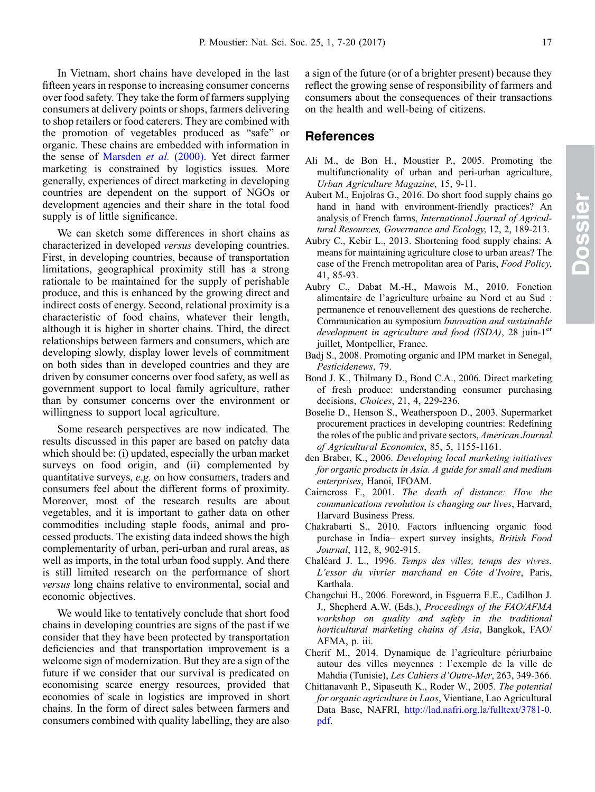<span id="page-10-0"></span>In Vietnam, short chains have developed in the last fifteen years in response to increasing consumer concerns over food safety. They take the form of farmers supplying consumers at delivery points or shops, farmers delivering to shop retailers or food caterers. They are combined with the promotion of vegetables produced as "safe" or organic. These chains are embedded with information in the sense of [Marsden](#page-12-0) et al. (2000). Yet direct farmer marketing is constrained by logistics issues. More generally, experiences of direct marketing in developing countries are dependent on the support of NGOs or development agencies and their share in the total food supply is of little significance.

We can sketch some differences in short chains as characterized in developed versus developing countries. First, in developing countries, because of transportation limitations, geographical proximity still has a strong rationale to be maintained for the supply of perishable produce, and this is enhanced by the growing direct and indirect costs of energy. Second, relational proximity is a characteristic of food chains, whatever their length, although it is higher in shorter chains. Third, the direct relationships between farmers and consumers, which are developing slowly, display lower levels of commitment on both sides than in developed countries and they are driven by consumer concerns over food safety, as well as government support to local family agriculture, rather than by consumer concerns over the environment or willingness to support local agriculture.

Some research perspectives are now indicated. The results discussed in this paper are based on patchy data which should be: (i) updated, especially the urban market surveys on food origin, and (ii) complemented by quantitative surveys, e.g. on how consumers, traders and consumers feel about the different forms of proximity. Moreover, most of the research results are about vegetables, and it is important to gather data on other commodities including staple foods, animal and processed products. The existing data indeed shows the high complementarity of urban, peri-urban and rural areas, as well as imports, in the total urban food supply. And there is still limited research on the performance of short versus long chains relative to environmental, social and economic objectives.

We would like to tentatively conclude that short food chains in developing countries are signs of the past if we consider that they have been protected by transportation deficiencies and that transportation improvement is a welcome sign of modernization. But they are a sign of the future if we consider that our survival is predicated on economising scarce energy resources, provided that economies of scale in logistics are improved in short chains. In the form of direct sales between farmers and consumers combined with quality labelling, they are also a sign of the future (or of a brighter present) because they reflect the growing sense of responsibility of farmers and consumers about the consequences of their transactions on the health and well-being of citizens.

# References

- Ali M., de Bon H., Moustier P., 2005. Promoting the multifunctionality of urban and peri-urban agriculture, Urban Agriculture Magazine, 15, 9-11.
- Aubert M., Enjolras G., 2016. Do short food supply chains go hand in hand with environment-friendly practices? An analysis of French farms, International Journal of Agricultural Resources, Governance and Ecology, 12, 2, 189-213.
- Aubry C., Kebir L., 2013. Shortening food supply chains: A means for maintaining agriculture close to urban areas? The case of the French metropolitan area of Paris, Food Policy, 41, 85-93.
- Aubry C., Dabat M.-H., Mawois M., 2010. Fonction alimentaire de l'agriculture urbaine au Nord et au Sud : permanence et renouvellement des questions de recherche. Communication au symposium Innovation and sustainable development in agriculture and food (ISDA), 28 juin-1 $er$ juillet, Montpellier, France.
- Badj S., 2008. Promoting organic and IPM market in Senegal, Pesticidenews, 79.
- Bond J. K., Thilmany D., Bond C.A., 2006. Direct marketing of fresh produce: understanding consumer purchasing decisions, Choices, 21, 4, 229-236.
- Boselie D., Henson S., Weatherspoon D., 2003. Supermarket procurement practices in developing countries: Redefining the roles of the public and private sectors, American Journal of Agricultural Economics, 85, 5, 1155-1161.
- den Braber, K., 2006. Developing local marketing initiatives for organic products in Asia. A guide for small and medium enterprises, Hanoi, IFOAM.
- Cairncross F., 2001. The death of distance: How the communications revolution is changing our lives, Harvard, Harvard Business Press.
- Chakrabarti S., 2010. Factors influencing organic food purchase in India– expert survey insights, British Food Journal, 112, 8, 902-915.
- Chaléard J. L., 1996. Temps des villes, temps des vivres. L'essor du vivrier marchand en Côte d'Ivoire, Paris, Karthala.
- Changchui H., 2006. Foreword, in Esguerra E.E., Cadilhon J. J., Shepherd A.W. (Eds.), Proceedings of the FAO/AFMA workshop on quality and safety in the traditional horticultural marketing chains of Asia, Bangkok, FAO/ AFMA, p. iii.
- Cherif M., 2014. Dynamique de l'agriculture périurbaine autour des villes moyennes : l'exemple de la ville de Mahdia (Tunisie), Les Cahiers d'Outre-Mer, 263, 349-366.
- Chittanavanh P., Sipaseuth K., Roder W., 2005. The potential for organic agriculture in Laos, Vientiane, Lao Agricultural Data Base, NAFRI, [http://lad.nafri.org.la/fulltext/3781-0.](http://lad.nafri.org.la/fulltext/3781-0.pdf) [pdf.](http://lad.nafri.org.la/fulltext/3781-0.pdf)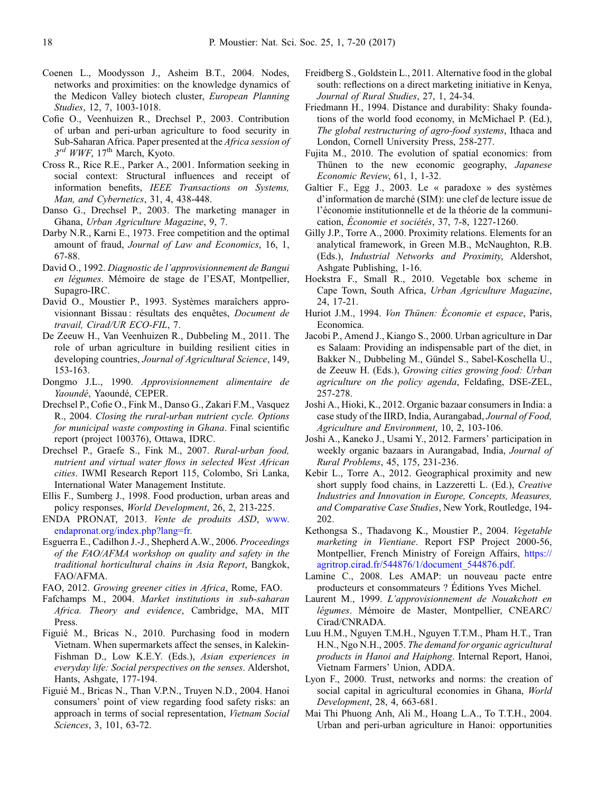- <span id="page-11-0"></span>Coenen L., Moodysson J., Asheim B.T., 2004. Nodes, networks and proximities: on the knowledge dynamics of the Medicon Valley biotech cluster, European Planning Studies, 12, 7, 1003-1018.
- Cofie O., Veenhuizen R., Drechsel P., 2003. Contribution of urban and peri-urban agriculture to food security in Sub-Saharan Africa. Paper presented at the Africa session of  $3<sup>rd</sup> WWF$ ,  $17<sup>th</sup> March$ , Kyoto.
- Cross R., Rice R.E., Parker A., 2001. Information seeking in social context: Structural influences and receipt of information benefits, IEEE Transactions on Systems, Man, and Cybernetics, 31, 4, 438-448.
- Danso G., Drechsel P., 2003. The marketing manager in Ghana, Urban Agriculture Magazine, 9, 7.
- Darby N.R., Karni E., 1973. Free competition and the optimal amount of fraud, Journal of Law and Economics, 16, 1, 67-88.
- David O., 1992. Diagnostic de l'approvisionnement de Bangui en légumes. Mémoire de stage de l'ESAT, Montpellier, Supagro-IRC.
- David O., Moustier P., 1993. Systèmes maraîchers approvisionnant Bissau : résultats des enquêtes, Document de travail, Cirad/UR ECO-FIL, 7.
- De Zeeuw H., Van Veenhuizen R., Dubbeling M., 2011. The role of urban agriculture in building resilient cities in developing countries, Journal of Agricultural Science, 149, 153-163.
- Dongmo J.L., 1990. Approvisionnement alimentaire de Yaoundé, Yaoundé, CEPER.
- Drechsel P., Cofie O., Fink M., Danso G., Zakari F.M., Vasquez R., 2004. Closing the rural-urban nutrient cycle. Options for municipal waste composting in Ghana. Final scientific report (project 100376), Ottawa, IDRC.
- Drechsel P., Graefe S., Fink M., 2007. Rural-urban food, nutrient and virtual water flows in selected West African cities. IWMI Research Report 115, Colombo, Sri Lanka, International Water Management Institute.
- Ellis F., Sumberg J., 1998. Food production, urban areas and policy responses, World Development, 26, 2, 213-225.
- ENDA PRONAT, 2013. Vente de produits ASD, [www.](http://www.endapronat.org/index.php?lang=fr) [endapronat.org/index.php?lang=fr.](http://www.endapronat.org/index.php?lang=fr)
- Esguerra E., Cadilhon J.-J., Shepherd A.W., 2006. Proceedings of the FAO/AFMA workshop on quality and safety in the traditional horticultural chains in Asia Report, Bangkok, FAO/AFMA.
- FAO, 2012. Growing greener cities in Africa, Rome, FAO.
- Fafchamps M., 2004. Market institutions in sub-saharan Africa. Theory and evidence, Cambridge, MA, MIT Press.
- Figuié M., Bricas N., 2010. Purchasing food in modern Vietnam. When supermarkets affect the senses, in Kalekin-Fishman D., Low K.E.Y. (Eds.), Asian experiences in everyday life: Social perspectives on the senses. Aldershot, Hants, Ashgate, 177-194.
- Figuié M., Bricas N., Than V.P.N., Truyen N.D., 2004. Hanoi consumers' point of view regarding food safety risks: an approach in terms of social representation, Vietnam Social Sciences, 3, 101, 63-72.
- Freidberg S., Goldstein L., 2011. Alternative food in the global south: reflections on a direct marketing initiative in Kenya, Journal of Rural Studies, 27, 1, 24-34.
- Friedmann H., 1994. Distance and durability: Shaky foundations of the world food economy, in McMichael P. (Ed.), The global restructuring of agro-food systems, Ithaca and London, Cornell University Press, 258-277.
- Fujita M., 2010. The evolution of spatial economics: from Thünen to the new economic geography, Japanese Economic Review, 61, 1, 1-32.
- Galtier F., Egg J., 2003. Le « paradoxe » des systèmes d'information de marché (SIM): une clef de lecture issue de l'économie institutionnelle et de la théorie de la communication, Économie et sociétés, 37, 7-8, 1227-1260.
- Gilly J.P., Torre A., 2000. Proximity relations. Elements for an analytical framework, in Green M.B., McNaughton, R.B. (Eds.), Industrial Networks and Proximity, Aldershot, Ashgate Publishing, 1-16.
- Hoekstra F., Small R., 2010. Vegetable box scheme in Cape Town, South Africa, Urban Agriculture Magazine, 24, 17-21.
- Huriot J.M., 1994. Von Thünen: Économie et espace, Paris, Economica.
- Jacobi P., Amend J., Kiango S., 2000. Urban agriculture in Dar es Salaam: Providing an indispensable part of the diet, in Bakker N., Dubbeling M., Gündel S., Sabel-Koschella U., de Zeeuw H. (Eds.), Growing cities growing food: Urban agriculture on the policy agenda, Feldafing, DSE-ZEL, 257-278.
- Joshi A., Hioki, K., 2012. Organic bazaar consumers in India: a case study of the IIRD, India, Aurangabad, Journal of Food, Agriculture and Environment, 10, 2, 103-106.
- Joshi A., Kaneko J., Usami Y., 2012. Farmers' participation in weekly organic bazaars in Aurangabad, India, Journal of Rural Problems, 45, 175, 231-236.
- Kebir L., Torre A., 2012. Geographical proximity and new short supply food chains, in Lazzeretti L. (Ed.), Creative Industries and Innovation in Europe, Concepts, Measures, and Comparative Case Studies, New York, Routledge, 194- 202.
- Kethongsa S., Thadavong K., Moustier P., 2004. Vegetable marketing in Vientiane. Report FSP Project 2000-56, Montpellier, French Ministry of Foreign Affairs, [https://](https://agritrop.cirad.fr/544876/1/document_544876.pdf) [agritrop.cirad.fr/544876/1/document\\_544876.pdf.](https://agritrop.cirad.fr/544876/1/document_544876.pdf)
- Lamine C., 2008. Les AMAP: un nouveau pacte entre producteurs et consommateurs ? Éditions Yves Michel.
- Laurent M., 1999. L'approvisionnement de Nouakchott en légumes. Mémoire de Master, Montpellier, CNEARC/ Cirad/CNRADA.
- Luu H.M., Nguyen T.M.H., Nguyen T.T.M., Pham H.T., Tran H.N., Ngo N.H., 2005. The demand for organic agricultural products in Hanoi and Haiphong. Internal Report, Hanoi, Vietnam Farmers' Union, ADDA.
- Lyon F., 2000. Trust, networks and norms: the creation of social capital in agricultural economies in Ghana, World Development, 28, 4, 663-681.
- Mai Thi Phuong Anh, Ali M., Hoang L.A., To T.T.H., 2004. Urban and peri-urban agriculture in Hanoi: opportunities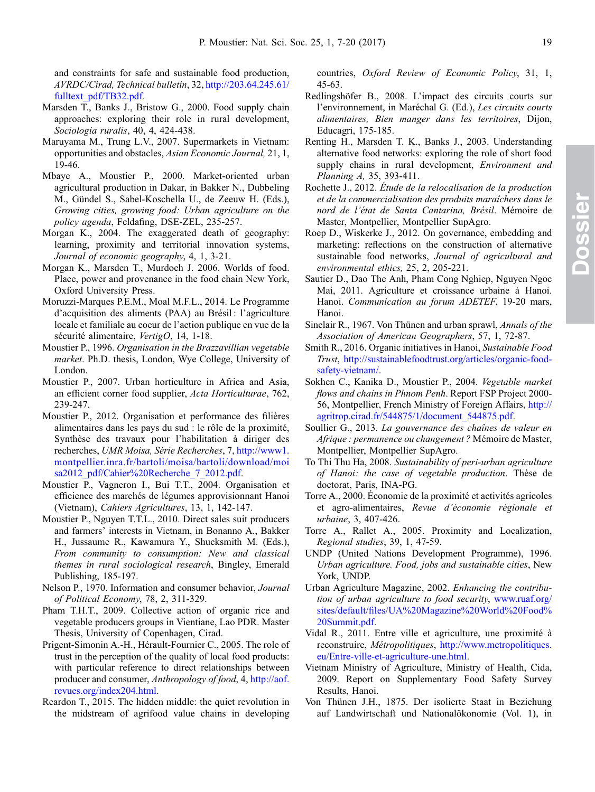<span id="page-12-0"></span>and constraints for safe and sustainable food production, AVRDC/Cirad, Technical bulletin, 32, [http://203.64.245.61/](http://203.64.245.61/fulltext_pdf/TB32.pdf) [fulltext\\_pdf/TB32.pdf.](http://203.64.245.61/fulltext_pdf/TB32.pdf)

- Marsden T., Banks J., Bristow G., 2000. Food supply chain approaches: exploring their role in rural development, Sociologia ruralis, 40, 4, 424-438.
- Maruyama M., Trung L.V., 2007. Supermarkets in Vietnam: opportunities and obstacles, Asian Economic Journal, 21, 1, 19-46.
- Mbaye A., Moustier P., 2000. Market-oriented urban agricultural production in Dakar, in Bakker N., Dubbeling M., Gündel S., Sabel-Koschella U., de Zeeuw H. (Eds.), Growing cities, growing food: Urban agriculture on the policy agenda, Feldafing, DSE-ZEL, 235-257.
- Morgan K., 2004. The exaggerated death of geography: learning, proximity and territorial innovation systems, Journal of economic geography, 4, 1, 3-21.
- Morgan K., Marsden T., Murdoch J. 2006. Worlds of food. Place, power and provenance in the food chain New York, Oxford University Press.
- Moruzzi-Marques P.E.M., Moal M.F.L., 2014. Le Programme d'acquisition des aliments (PAA) au Brésil : l'agriculture locale et familiale au coeur de l'action publique en vue de la sécurité alimentaire, VertigO, 14, 1-18.
- Moustier P., 1996. Organisation in the Brazzavillian vegetable market. Ph.D. thesis, London, Wye College, University of London.
- Moustier P., 2007. Urban horticulture in Africa and Asia, an efficient corner food supplier, Acta Horticulturae, 762, 239-247.
- Moustier P., 2012. Organisation et performance des filières alimentaires dans les pays du sud : le rôle de la proximité, Synthèse des travaux pour l'habilitation à diriger des recherches, UMR Moisa, Série Recherches, 7, [http://www1.](http://www1.montpellier.inra.fr/bartoli/moisa/bartoli/download/moisa2012_pdf/Cahier%20Recherche_7_2012.pdf) [montpellier.inra.fr/bartoli/moisa/bartoli/download/moi](http://www1.montpellier.inra.fr/bartoli/moisa/bartoli/download/moisa2012_pdf/Cahier%20Recherche_7_2012.pdf) [sa2012\\_pdf/Cahier%20Recherche\\_7\\_2012.pdf](http://www1.montpellier.inra.fr/bartoli/moisa/bartoli/download/moisa2012_pdf/Cahier%20Recherche_7_2012.pdf).
- Moustier P., Vagneron I., Bui T.T., 2004. Organisation et efficience des marchés de légumes approvisionnant Hanoi (Vietnam), Cahiers Agricultures, 13, 1, 142-147.
- Moustier P., Nguyen T.T.L., 2010. Direct sales suit producers and farmers' interests in Vietnam, in Bonanno A., Bakker H., Jussaume R., Kawamura Y., Shucksmith M. (Eds.), From community to consumption: New and classical themes in rural sociological research, Bingley, Emerald Publishing, 185-197.
- Nelson P., 1970. Information and consumer behavior, Journal of Political Economy, 78, 2, 311-329.
- Pham T.H.T., 2009. Collective action of organic rice and vegetable producers groups in Vientiane, Lao PDR. Master Thesis, University of Copenhagen, Cirad.
- Prigent-Simonin A.-H., Hérault-Fournier C., 2005. The role of trust in the perception of the quality of local food products: with particular reference to direct relationships between producer and consumer, Anthropology of food, 4, [http://aof.](http://aof.revues.org/index204.html) [revues.org/index204.html.](http://aof.revues.org/index204.html)
- Reardon T., 2015. The hidden middle: the quiet revolution in the midstream of agrifood value chains in developing

countries, Oxford Review of Economic Policy, 31, 1, 45-63.

- Redlingshöfer B., 2008. L'impact des circuits courts sur l'environnement, in Maréchal G. (Ed.), Les circuits courts alimentaires, Bien manger dans les territoires, Dijon, Educagri, 175-185.
- Renting H., Marsden T. K., Banks J., 2003. Understanding alternative food networks: exploring the role of short food supply chains in rural development, *Environment and* Planning A, 35, 393-411.
- Rochette J., 2012. Étude de la relocalisation de la production et de la commercialisation des produits maraîchers dans le nord de l'état de Santa Cantarina, Brésil. Mémoire de Master, Montpellier, Montpellier SupAgro.
- Roep D., Wiskerke J., 2012. On governance, embedding and marketing: reflections on the construction of alternative sustainable food networks, Journal of agricultural and environmental ethics, 25, 2, 205-221.
- Sautier D., Dao The Anh, Pham Cong Nghiep, Nguyen Ngoc Mai, 2011. Agriculture et croissance urbaine à Hanoi. Hanoi. Communication au forum ADETEF, 19-20 mars, Hanoi.
- Sinclair R., 1967. Von Thünen and urban sprawl, Annals of the Association of American Geographers, 57, 1, 72-87.
- Smith R., 2016. Organic initiatives in Hanoi, Sustainable Food Trust, [http://sustainablefoodtrust.org/articles/organic-food](http://sustainablefoodtrust.org/articles/organic-food-safety-vietnam/)[safety-vietnam/](http://sustainablefoodtrust.org/articles/organic-food-safety-vietnam/).
- Sokhen C., Kanika D., Moustier P., 2004. Vegetable market flows and chains in Phnom Penh. Report FSP Project 2000-56, Montpellier, French Ministry of Foreign Affairs, [http://](http://agritrop.cirad.fr/544875/1/document_544875.pdf) [agritrop.cirad.fr/544875/1/document\\_544875.pdf.](http://agritrop.cirad.fr/544875/1/document_544875.pdf)
- Soullier G., 2013. La gouvernance des chaînes de valeur en Afrique : permanence ou changement ? Mémoire de Master, Montpellier, Montpellier SupAgro.
- To Thi Thu Ha, 2008. Sustainability of peri-urban agriculture of Hanoi: the case of vegetable production. Thèse de doctorat, Paris, INA-PG.
- Torre A., 2000. Économie de la proximité et activités agricoles et agro-alimentaires, Revue d'économie régionale et urbaine, 3, 407-426.
- Torre A., Rallet A., 2005. Proximity and Localization, Regional studies, 39, 1, 47-59.
- UNDP (United Nations Development Programme), 1996. Urban agriculture. Food, jobs and sustainable cities, New York, UNDP.
- Urban Agriculture Magazine, 2002. Enhancing the contribution of urban agriculture to food security, [www.ruaf.org/](http://www.ruaf.org/sites/default/files/UA%20Magazine%20World%20Food%20Summit.pdf) sites/default/fi[les/UA%20Magazine%20World%20Food%](http://www.ruaf.org/sites/default/files/UA%20Magazine%20World%20Food%20Summit.pdf) [20Summit.pdf.](http://www.ruaf.org/sites/default/files/UA%20Magazine%20World%20Food%20Summit.pdf)
- Vidal R., 2011. Entre ville et agriculture, une proximité à reconstruire, Métropolitiques, [http://www.metropolitiques.](http://www.metropolitiques.eu/Entre-ville-et-agriculture-une.html) [eu/Entre-ville-et-agriculture-une.html.](http://www.metropolitiques.eu/Entre-ville-et-agriculture-une.html)
- Vietnam Ministry of Agriculture, Ministry of Health, Cida, 2009. Report on Supplementary Food Safety Survey Results, Hanoi.
- Von Thünen J.H., 1875. Der isolierte Staat in Beziehung auf Landwirtschaft und Nationalökonomie (Vol. 1), in